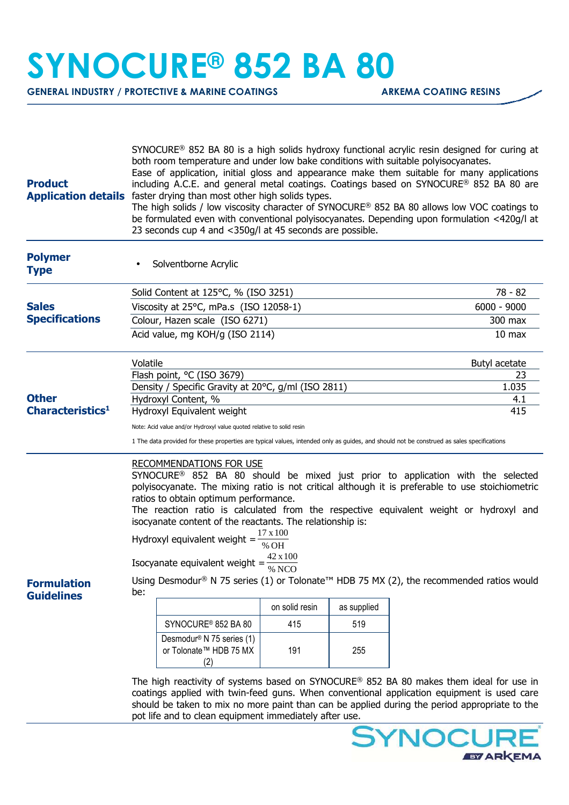## **SYNOCURE® 852 BA 80**

**GENERAL INDUSTRY / PROTECTIVE & MARINE COATINGS ARKEMA COATING RESINS** 

| <b>Product</b>                          | SYNOCURE <sup>®</sup> 852 BA 80 is a high solids hydroxy functional acrylic resin designed for curing at<br>both room temperature and under low bake conditions with suitable polyisocyanates.<br>Ease of application, initial gloss and appearance make them suitable for many applications<br>including A.C.E. and general metal coatings. Coatings based on SYNOCURE® 852 BA 80 are<br>Application details faster drying than most other high solids types.<br>The high solids / low viscosity character of SYNOCURE <sup>®</sup> 852 BA 80 allows low VOC coatings to<br>be formulated even with conventional polyisocyanates. Depending upon formulation <420g/l at<br>23 seconds cup 4 and <350g/l at 45 seconds are possible.                        |                                                                                    |                   |     |         |  |
|-----------------------------------------|-------------------------------------------------------------------------------------------------------------------------------------------------------------------------------------------------------------------------------------------------------------------------------------------------------------------------------------------------------------------------------------------------------------------------------------------------------------------------------------------------------------------------------------------------------------------------------------------------------------------------------------------------------------------------------------------------------------------------------------------------------------|------------------------------------------------------------------------------------|-------------------|-----|---------|--|
| <b>Polymer</b><br><b>Type</b>           |                                                                                                                                                                                                                                                                                                                                                                                                                                                                                                                                                                                                                                                                                                                                                             | Solventborne Acrylic                                                               |                   |     |         |  |
|                                         |                                                                                                                                                                                                                                                                                                                                                                                                                                                                                                                                                                                                                                                                                                                                                             | Solid Content at 125°C, % (ISO 3251)                                               |                   |     | 78 - 82 |  |
| <b>Sales</b><br><b>Specifications</b>   |                                                                                                                                                                                                                                                                                                                                                                                                                                                                                                                                                                                                                                                                                                                                                             | Viscosity at 25°C, mPa.s (ISO 12058-1)                                             | $6000 - 9000$     |     |         |  |
|                                         |                                                                                                                                                                                                                                                                                                                                                                                                                                                                                                                                                                                                                                                                                                                                                             | Colour, Hazen scale (ISO 6271)                                                     | 300 max           |     |         |  |
|                                         |                                                                                                                                                                                                                                                                                                                                                                                                                                                                                                                                                                                                                                                                                                                                                             | Acid value, mg KOH/g (ISO 2114)                                                    | 10 <sub>max</sub> |     |         |  |
|                                         | Volatile                                                                                                                                                                                                                                                                                                                                                                                                                                                                                                                                                                                                                                                                                                                                                    |                                                                                    | Butyl acetate     |     |         |  |
|                                         |                                                                                                                                                                                                                                                                                                                                                                                                                                                                                                                                                                                                                                                                                                                                                             | Flash point, °C (ISO 3679)                                                         | 23                |     |         |  |
| <b>Other</b>                            |                                                                                                                                                                                                                                                                                                                                                                                                                                                                                                                                                                                                                                                                                                                                                             | Density / Specific Gravity at 20°C, g/ml (ISO 2811)<br>Hydroxyl Content, %         | 1.035<br>4.1      |     |         |  |
| <b>Characteristics<sup>1</sup></b>      |                                                                                                                                                                                                                                                                                                                                                                                                                                                                                                                                                                                                                                                                                                                                                             | Hydroxyl Equivalent weight                                                         | 415               |     |         |  |
|                                         | Note: Acid value and/or Hydroxyl value quoted relative to solid resin                                                                                                                                                                                                                                                                                                                                                                                                                                                                                                                                                                                                                                                                                       |                                                                                    |                   |     |         |  |
|                                         | 1 The data provided for these properties are typical values, intended only as guides, and should not be construed as sales specifications                                                                                                                                                                                                                                                                                                                                                                                                                                                                                                                                                                                                                   |                                                                                    |                   |     |         |  |
| <b>Formulation</b><br><b>Guidelines</b> | <b>RECOMMENDATIONS FOR USE</b><br>SYNOCURE <sup>®</sup> 852 BA 80 should be mixed just prior to application with the selected<br>polyisocyanate. The mixing ratio is not critical although it is preferable to use stoichiometric<br>ratios to obtain optimum performance.<br>The reaction ratio is calculated from the respective equivalent weight or hydroxyl and<br>isocyanate content of the reactants. The relationship is:<br>17 x 100<br>Hydroxyl equivalent weight =<br>% OH<br>42 x 100<br>Isocyanate equivalent weight =<br>$\overline{\%}$ NCO<br>Using Desmodur® N 75 series (1) or Tolonate <sup>™</sup> HDB 75 MX (2), the recommended ratios would<br>be:<br>on solid resin<br>as supplied<br>SYNOCURE <sup>®</sup> 852 BA 80<br>415<br>519 |                                                                                    |                   |     |         |  |
|                                         |                                                                                                                                                                                                                                                                                                                                                                                                                                                                                                                                                                                                                                                                                                                                                             |                                                                                    |                   |     |         |  |
|                                         |                                                                                                                                                                                                                                                                                                                                                                                                                                                                                                                                                                                                                                                                                                                                                             | Desmodur <sup>®</sup> N 75 series (1)<br>or Tolonate <sup>™</sup> HDB 75 MX<br>(2) | 191               | 255 |         |  |
|                                         | The high reactivity of systems based on SYNOCURE <sup>®</sup> 852 BA 80 makes them ideal for use in<br>coatings applied with twin-feed guns. When conventional application equipment is used care<br>should be taken to mix no more paint than can be applied during the period appropriate to the<br>pot life and to clean equipment immediately after use.                                                                                                                                                                                                                                                                                                                                                                                                |                                                                                    |                   |     |         |  |